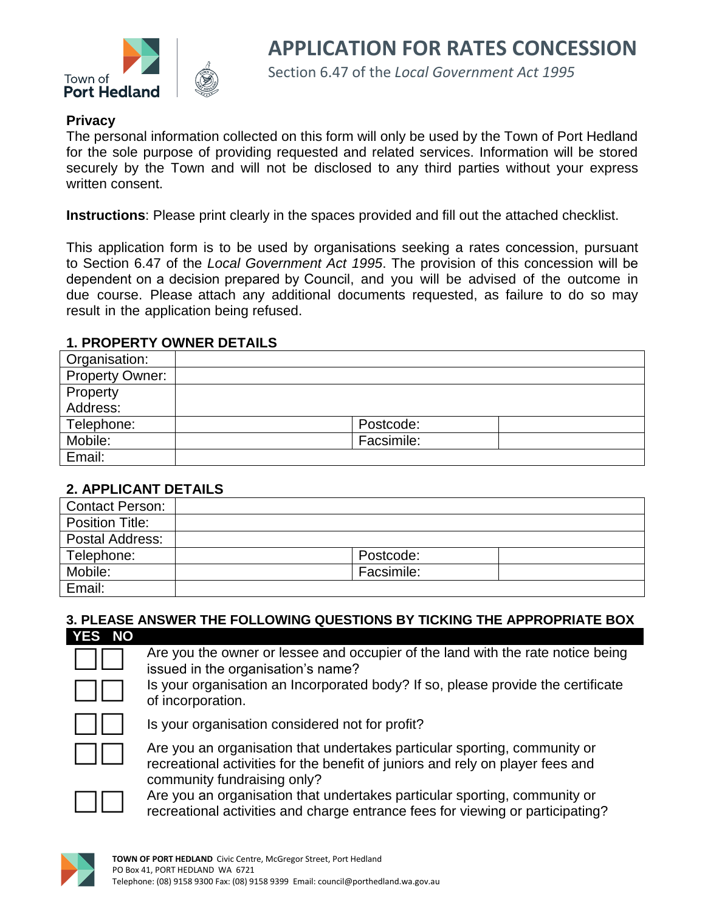

Section 6.47 of the *Local Government Act 1995*

### **Privacy**

The personal information collected on this form will only be used by the Town of Port Hedland for the sole purpose of providing requested and related services. Information will be stored securely by the Town and will not be disclosed to any third parties without your express written consent.

**Instructions**: Please print clearly in the spaces provided and fill out the attached checklist.

This application form is to be used by organisations seeking a rates concession, pursuant to Section 6.47 of the *Local Government Act 1995*. The provision of this concession will be dependent on a decision prepared by Council, and you will be advised of the outcome in due course. Please attach any additional documents requested, as failure to do so may result in the application being refused.

### **1. PROPERTY OWNER DETAILS**

| Organisation:          |            |
|------------------------|------------|
| <b>Property Owner:</b> |            |
| Property               |            |
| Address:               |            |
| Telephone:             | Postcode:  |
| Mobile:                | Facsimile: |
| Email:                 |            |

### **2. APPLICANT DETAILS**

| <b>Contact Person:</b> |            |
|------------------------|------------|
| <b>Position Title:</b> |            |
| Postal Address:        |            |
| Telephone:             | Postcode:  |
| Mobile:                | Facsimile: |
| Email:                 |            |

#### **3. PLEASE ANSWER THE FOLLOWING QUESTIONS BY TICKING THE APPROPRIATE BOX**

| YES NO |                                                                                                                                                                                            |
|--------|--------------------------------------------------------------------------------------------------------------------------------------------------------------------------------------------|
|        | Are you the owner or lessee and occupier of the land with the rate notice being<br>issued in the organisation's name?                                                                      |
|        | Is your organisation an Incorporated body? If so, please provide the certificate<br>of incorporation.                                                                                      |
|        | Is your organisation considered not for profit?                                                                                                                                            |
|        | Are you an organisation that undertakes particular sporting, community or<br>recreational activities for the benefit of juniors and rely on player fees and<br>community fundraising only? |
|        | Are veu an erganisation that undertakes particular specting community or                                                                                                                   |



Are you an organisation that undertakes particular sporting, community or recreational activities and charge entrance fees for viewing or participating?

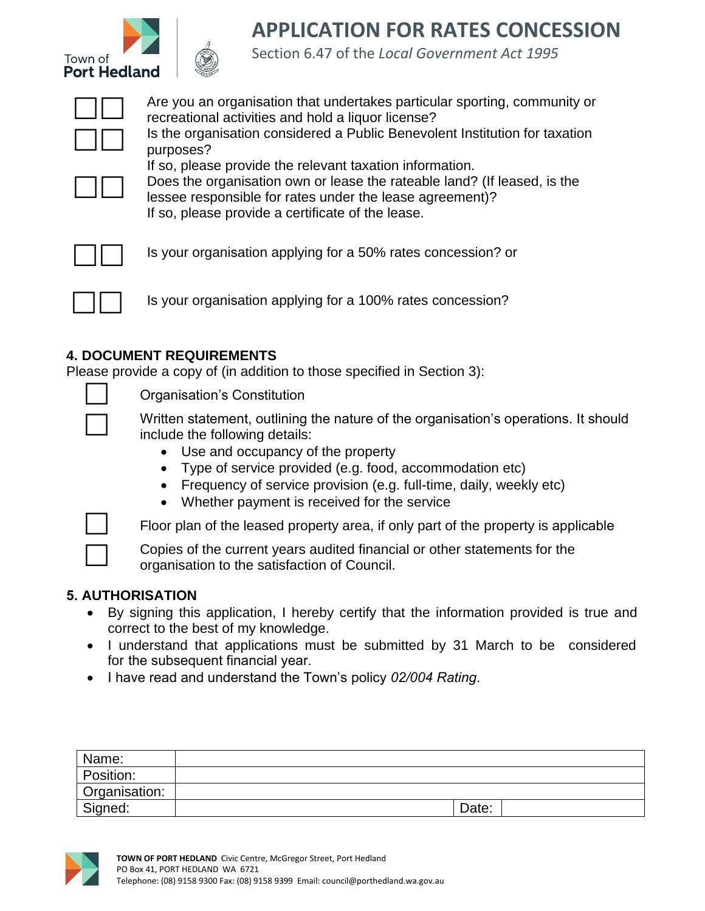



## **APPLICATION FOR RATES CONCESSION**

Section 6.47 of the *Local Government Act 1995*



Are you an organisation that undertakes particular sporting, community or recreational activities and hold a liquor license? Is the organisation considered a Public Benevolent Institution for taxation purposes?

 $\Box$ 

Does the organisation own or lease the rateable land? (If leased, is the lessee responsible for rates under the lease agreement)? If so, please provide a certificate of the lease.



Is your organisation applying for a 50% rates concession? or

If so, please provide the relevant taxation information.



Is your organisation applying for a 100% rates concession?

## **4. DOCUMENT REQUIREMENTS**

Please provide a copy of (in addition to those specified in Section 3):



Organisation's Constitution

 Written statement, outlining the nature of the organisation's operations. It should include the following details:

- Use and occupancy of the property
- Type of service provided (e.g. food, accommodation etc)
- Frequency of service provision (e.g. full-time, daily, weekly etc)
- Whether payment is received for the service



Floor plan of the leased property area, if only part of the property is applicable

Copies of the current years audited financial or other statements for the organisation to the satisfaction of Council.

## **5. AUTHORISATION**

- By signing this application, I hereby certify that the information provided is true and correct to the best of my knowledge.
- I understand that applications must be submitted by 31 March to be considered for the subsequent financial year.
- I have read and understand the Town's policy *02/004 Rating*.

| Name:         |       |
|---------------|-------|
| Position:     |       |
| Organisation: |       |
| Signed:       | Date: |